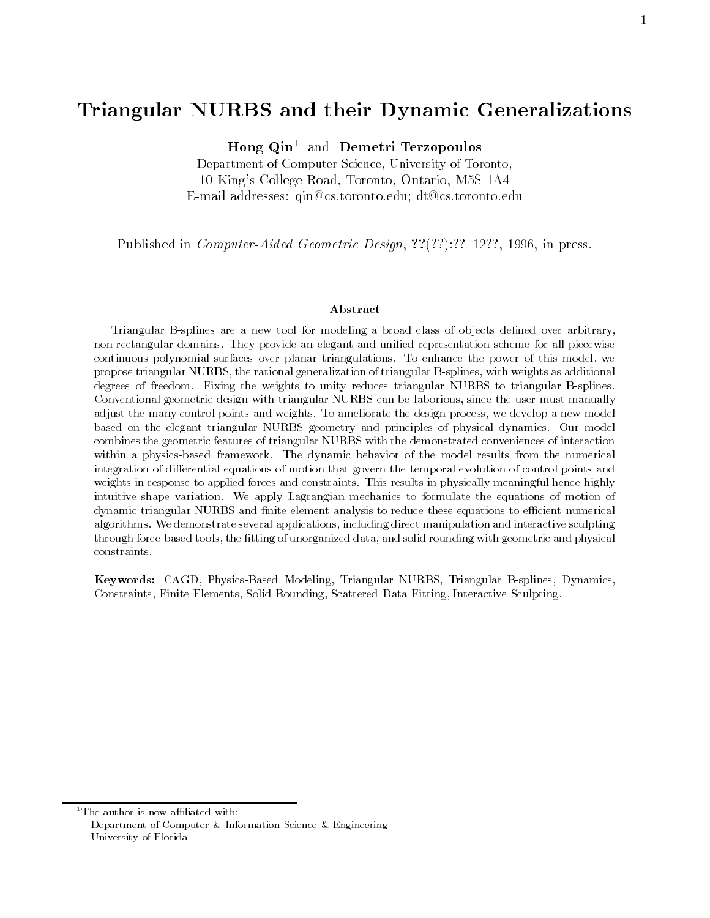# Triangular NURBS and their Dynamic Generalizations

Hong Qin<sup>1</sup> and Demetri Terzopoulos

Department of Computer Science, University of Toronto, 10 King's College Road, Toronto, Ontario, M5S 1A4 E-mail addresses: qin@cs.toronto.edu; dt@cs.toronto.edu

Published in *Computer-Aided Geometric Design,*  $??$ (??):??-12??, 1996, in press.

### Abstract

Triangular B-splines are a new tool for modeling a broad class of objects dened over arbitrary, non-rectangular domains. They provide an elegant and unied representation scheme for all piecewise continuous polynomial surfaces over planar triangulations. To enhance the power of this model, we propose triangular NURBS, the rational generalization of triangular B-splines, with weights as additional degrees of freedom. Fixing the weights to unity reduces triangular NURBS to triangular B-splines. Conventional geometric design with triangular NURBS can be laborious, since the user must manually adjust the many control points and weights. To ameliorate the design process, we develop a new model based on the elegant triangular NURBS geometry and principles of physical dynamics. Our model combines the geometric features of triangular NURBS with the demonstrated conveniences of interaction within a physics-based framework. The dynamic behavior of the model results from the numerical integration of differential equations of motion that govern the temporal evolution of control points and weights in response to applied forces and constraints. This results in physically meaningful hence highly intuitive shape variation. We apply Lagrangian mechanics to formulate the equations of motion of dynamic triangular NURBS and finite element analysis to reduce these equations to efficient numerical algorithms. We demonstrate several applications, including direct manipulation and interactive sculpting through force-based tools, the fitting of unorganized data, and solid rounding with geometric and physical constraints.

Keywords: CAGD, Physics-Based Modeling, Triangular NURBS, Triangular B-splines, Dynamics, Constraints, Finite Elements, Solid Rounding, Scattered Data Fitting, Interactive Sculpting.

 $1$ The author is now affiliated with:

Department of Computer & Information Science & Engineering University of Florida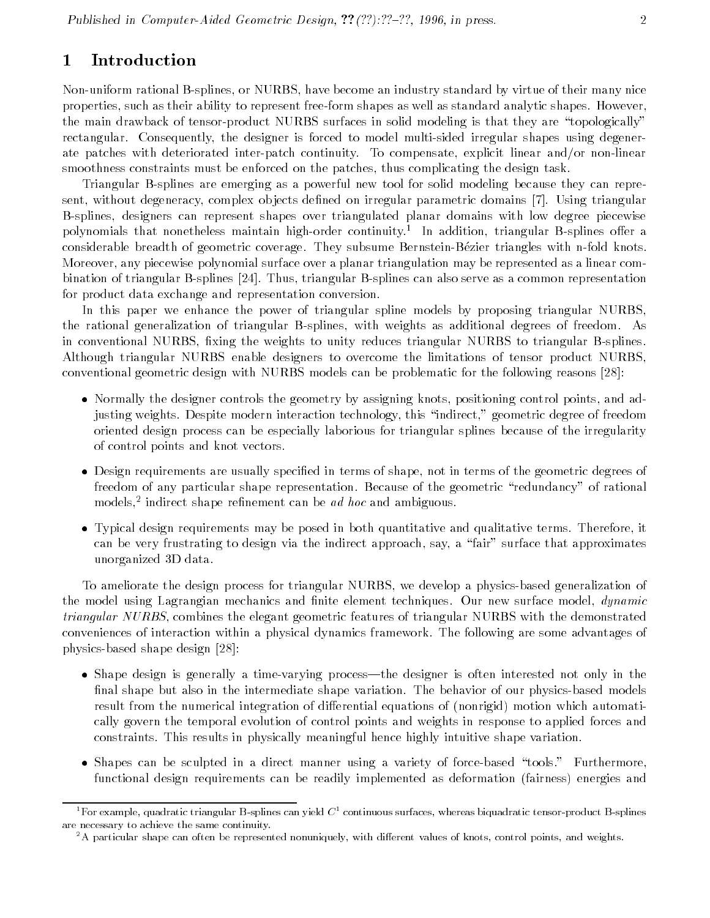### 1 Introduction

Non-uniform rational B-splines, or NURBS, have become an industry standard by virtue of their many nice properties, such as their ability to represent free-form shapes as well as standard analytic shapes. However, the main drawback of tensor-product NURBS surfaces in solid modeling is that they are \topologically" rectangular. Consequently, the designer is forced to model multi-sided irregular shapes using degenerate patches with deteriorated inter-patch continuity. To compensate, explicit linear and/or non-linear smoothness constraints must be enforced on the patches, thus complicating the design task.

Triangular B-splines are emerging as a powerful new tool for solid modeling because they can represent, without degeneracy, complex objects defined on irregular parametric domains [7]. Using triangular B-splines, designers can represent shapes over triangulated planar domains with low degree piecewise polynomials that nonetheless maintain high-order continuity." In addition, triangular B-splines offer a considerable breadth of geometric coverage. They subsume Bernstein-Bezier triangles with n-fold knots. Moreover, any piecewise polynomial surface over a planar triangulation may be represented as a linear combination of triangular B-splines [24]. Thus, triangular B-splines can also serve as a common representation for product data exchange and representation conversion.

In this paper we enhance the power of triangular spline models by proposing triangular NURBS, the rational generalization of triangular B-splines, with weights as additional degrees of freedom. As in conventional NURBS, fixing the weights to unity reduces triangular NURBS to triangular B-splines. Although triangular NURBS enable designers to overcome the limitations of tensor product NURBS, conventional geometric design with NURBS models can be problematic for the following reasons [28]:

- $\bullet$  Normally the designer controls the geometry by assigning knots, positioning control points, and adjusting weights. Despite modern interaction technology, this "indirect," geometric degree of freedom oriented design process can be especially laborious for triangular splines because of the irregularity of control points and knot vectors.
- $\bullet$  Design requirements are usually specified in terms of shape, not in terms of the geometric degrees of  $\hspace{0.1mm}$ freedom of any particular shape representation. Because of the geometric \redundancy" of rational models, indirect shape rennement can be *ad noc* and ambiguous.
- $\bullet$  Typical design requirements may be posed in both quantitative and qualitative terms. Therefore, it can be very frustrating to design via the indirect approach, say, a "fair" surface that approximates unorganized 3D data.

To ameliorate the design process for triangular NURBS, we develop a physics-based generalization of the model using Lagrangian mechanics and finite element techniques. Our new surface model, *dynamic* triangular NURBS, combines the elegant geometric features of triangular NURBS with the demonstrated conveniences of interaction within a physical dynamics framework. The following are some advantages of physics-based shape design [28]:

- $\bullet$  Shape design is generally a time-varying process—the designer is often interested not only in the  $\hspace{0.1mm}$ final shape but also in the intermediate shape variation. The behavior of our physics-based models result from the numerical integration of differential equations of (nonrigid) motion which automatically govern the temporal evolution of control points and weights in response to applied forces and constraints. This results in physically meaningful hence highly intuitive shape variation.
- $\bullet$  Shapes can be sculpted in a direct manner using a variety of force-based "tools." Furthermore,  $\hspace{0.1mm}$ functional design requirements can be readily implemented as deformation (fairness) energies and

<sup>&</sup>lt;sup>1</sup>For example, quadratic triangular B-splines can yield  $C^1$  continuous surfaces, whereas biquadratic tensor-product B-splines are necessary to achieve the same continuity.

 ${}^{2}$ A particular shape can often be represented nonuniquely, with different values of knots, control points, and weights.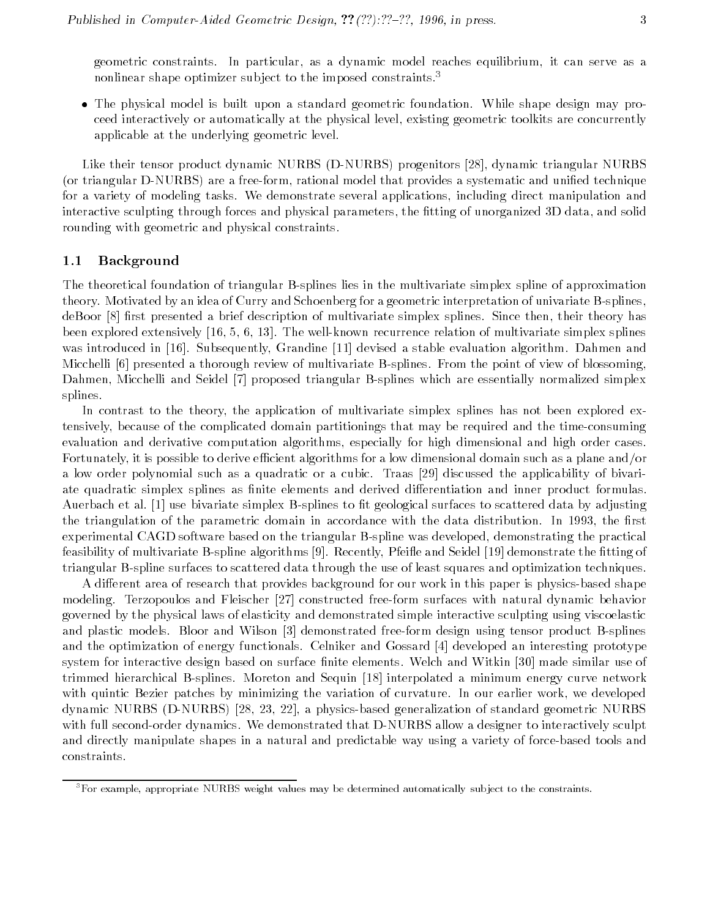geometric constraints. In particular, as a dynamic model reaches equilibrium, it can serve as a nonlinear shape optimizer subject to the imposed constraints.<sup>3</sup>

 $\bullet$  The physical model is built upon a standard geometric foundation. While shape design may proceed interactively or automatically at the physical level, existing geometric toolkits are concurrently applicable at the underlying geometric level.

Like their tensor product dynamic NURBS (D-NURBS) progenitors [28], dynamic triangular NURBS (or triangular D-NURBS) are a free-form, rational model that provides a systematic and unified technique for a variety of modeling tasks. We demonstrate several applications, including direct manipulation and interactive sculpting through forces and physical parameters, the fitting of unorganized 3D data, and solid rounding with geometric and physical constraints.

#### 1.1Background

The theoretical foundation of triangular B-splines lies in the multivariate simplex spline of approximation theory. Motivated by an idea of Curry and Schoenberg for a geometric interpretation of univariate B-splines, deBoor [8] first presented a brief description of multivariate simplex splines. Since then, their theory has been explored extensively [16, 5, 6, 13]. The well-known recurrence relation of multivariate simplex splines was introduced in [16]. Subsequently, Grandine [11] devised a stable evaluation algorithm. Dahmen and Micchelli [6] presented a thorough review of multivariate B-splines. From the point of view of blossoming, Dahmen, Micchelli and Seidel [7] proposed triangular B-splines which are essentially normalized simplex splines.

In contrast to the theory, the application of multivariate simplex splines has not been explored extensively, because of the complicated domain partitionings that may be required and the time-consuming evaluation and derivative computation algorithms, especially for high dimensional and high order cases. Fortunately, it is possible to derive efficient algorithms for a low dimensional domain such as a plane and/or a low order polynomial such as a quadratic or a cubic. Traas [29] discussed the applicability of bivariate quadratic simplex splines as finite elements and derived differentiation and inner product formulas. Auerbach et al. [1] use bivariate simplex B-splines to fit geological surfaces to scattered data by adjusting the triangulation of the parametric domain in accordance with the data distribution. In 1993, the first experimental CAGD software based on the triangular B-spline was developed, demonstrating the practical feasibility of multivariate B-spline algorithms [9]. Recently, Pfei
e and Seidel [19] demonstrate the tting of triangular B-spline surfaces to scattered data through the use of least squares and optimization techniques.

A different area of research that provides background for our work in this paper is physics-based shape modeling. Terzopoulos and Fleischer [27] constructed free-form surfaces with natural dynamic behavior governed by the physical laws of elasticity and demonstrated simple interactive sculpting using viscoelastic and plastic models. Bloor and Wilson [3] demonstrated free-form design using tensor product B-splines and the optimization of energy functionals. Celniker and Gossard [4] developed an interesting prototype system for interactive design based on surface finite elements. Welch and Witkin [30] made similar use of trimmed hierarchical B-splines. Moreton and Sequin [18] interpolated a minimum energy curve network with quintic Bezier patches by minimizing the variation of curvature. In our earlier work, we developed dynamic NURBS (D-NURBS) [28, 23, 22], a physics-based generalization of standard geometric NURBS with full second-order dynamics. We demonstrated that D-NURBS allow a designer to interactively sculpt and directly manipulate shapes in a natural and predictable way using a variety of force-based tools and constraints.

 ${}^{3}$  For example, appropriate NURBS weight values may be determined automatically subject to the constraints.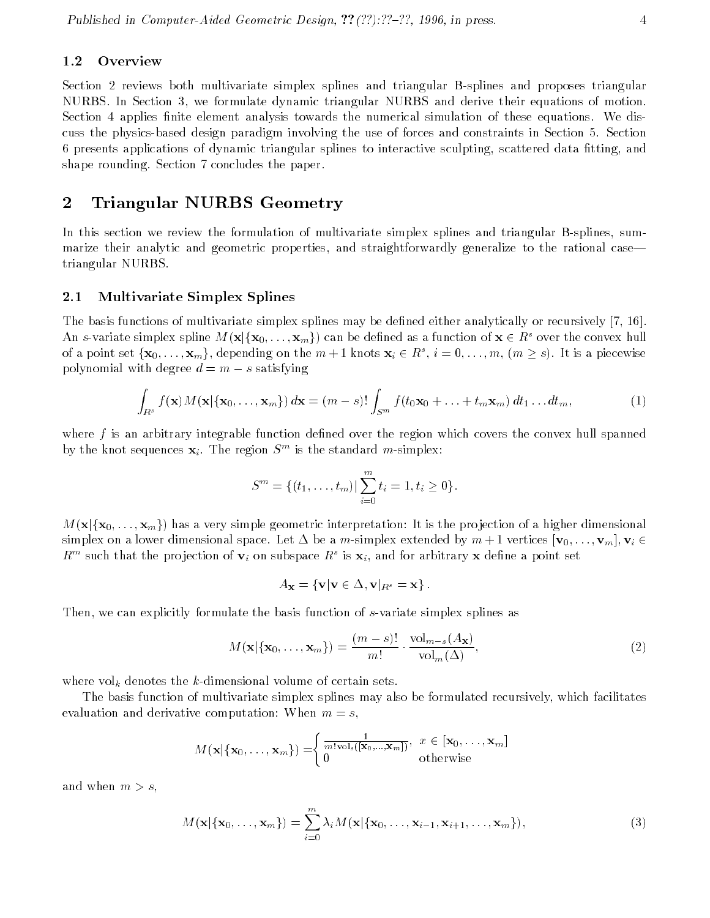#### 1.2**Overview**

Section 2 reviews both multivariate simplex splines and triangular B-splines and proposes triangular NURBS. In Section 3, we formulate dynamic triangular NURBS and derive their equations of motion. Section 4 applies finite element analysis towards the numerical simulation of these equations. We discuss the physics-based design paradigm involving the use of forces and constraints in Section 5. Section 6 presents applications of dynamic triangular splines to interactive sculpting, scattered data tting, and shape rounding. Section 7 concludes the paper.

### 2 Triangular NURBS Geometry

In this section we review the formulation of multivariate simplex splines and triangular B-splines, summarize their analytic and geometric properties, and straightforwardly generalize to the rational case triangular NURBS.

#### 2.1Multivariate Simplex Splines

The basis functions of multivariate simplex splines may be defined either analytically or recursively [7, 16]. An s-variate simplex spline  $M(\mathbf{x}|\{\mathbf{x}_0,\ldots,\mathbf{x}_m\})$  can be defined as a function of  $\mathbf{x} \in R^s$  over the convex hull of a point set  $\{{\bf x}_0,\ldots,{\bf x}_m\},$  depending on the  $m+1$  knots  ${\bf x}_i\in R^s,$   $i=0,\ldots,m,$   $(m\geq s).$  It is a piecewise polynomial with degree  $d = m - s$  satisfying

$$
\int_{R^s} f(\mathbf{x}) M(\mathbf{x}|\{\mathbf{x}_0,\ldots,\mathbf{x}_m\}) d\mathbf{x} = (m-s)! \int_{S^m} f(t_0 \mathbf{x}_0 + \ldots + t_m \mathbf{x}_m) dt_1 \ldots dt_m,
$$
\n(1)

where  $f$  is an arbitrary integrable function defined over the region which covers the convex hull spanned by the knot sequences  $\mathbf{x}_i$ . The region  $S^m$  is the standard m-simplex:

$$
S^m = \{(t_1, \ldots, t_m) | \sum_{i=0}^m t_i = 1, t_i \geq 0\}.
$$

 $M(\mathbf{x}|\{\mathbf{x}_0,\ldots,\mathbf{x}_m\})$  has a very simple geometric interpretation: It is the projection of a higher dimensional simplex on a lower dimensional space. Let  $\Delta$  be a m-simplex extended by  $m + 1$  vertices  $[\mathbf{v}_0, \ldots, \mathbf{v}_m], \mathbf{v}_i \in$  $R^{\prime\prime\prime}$  such that the projection of  $\mathbf{v}_i$  on subspace  $R^\ast$  is  $\mathbf{x}_i,$  and for arbitrary  $\mathbf{x}$  define a point set

$$
A_{\mathbf{x}} = \{ \mathbf{v} | \mathbf{v} \in \Delta, \mathbf{v} |_{R^s} = \mathbf{x} \}.
$$

Then, we can explicitly formulate the basis function of s-variate simplex splines as

$$
M(\mathbf{x}|\{\mathbf{x}_0,\ldots,\mathbf{x}_m\}) = \frac{(m-s)!}{m!} \cdot \frac{\mathrm{vol}_{m-s}(A_{\mathbf{x}})}{\mathrm{vol}_m(\Delta)},
$$
\n(2)

where volume of  $\Omega$ 

The basis function of multivariate simplex splines may also be formulated recursively, which facilitates evaluation and derivative computation: When  $m = s$ ,

$$
M(\mathbf{x}|\{\mathbf{x}_0,\ldots,\mathbf{x}_m\})=\begin{cases}\frac{1}{m!\operatorname{vol}_s([\mathbf{x}_0,\ldots,\mathbf{x}_m])}, & x \in [\mathbf{x}_0,\ldots,\mathbf{x}_m] \\ 0 & \text{otherwise}\end{cases}
$$

and when  $m>s$ .

$$
M(\mathbf{x}|\{\mathbf{x}_0,\ldots,\mathbf{x}_m\})=\sum_{i=0}^m\lambda_i M(\mathbf{x}|\{\mathbf{x}_0,\ldots,\mathbf{x}_{i-1},\mathbf{x}_{i+1},\ldots,\mathbf{x}_m\}),
$$
\n(3)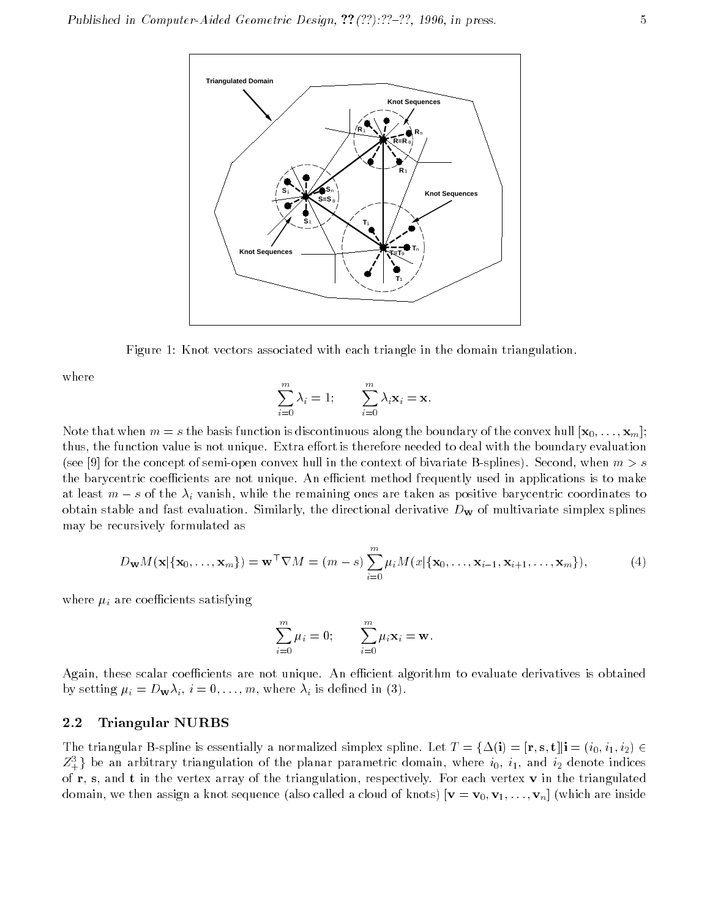

Figure 1: Knot vectors associated with each triangle in the domain triangulation.

where

$$
\sum_{i=0}^{m} \lambda_i = 1; \qquad \sum_{i=0}^{m} \lambda_i \mathbf{x}_i = \mathbf{x}.
$$

Note that when  $m = s$  the basis function is discontinuous along the boundary of the convex hull  $[\mathbf{x}_0, \ldots, \mathbf{x}_m]$ ; thus, the function value is not unique. Extra effort is therefore needed to deal with the boundary evaluation (see [9] for the concept of semi-open convex hull in the context of bivariate B-splines). Second, when  $m>s$ the barycentric coefficients are not unique. An efficient method frequently used in applications is to make at least  $m = s$  of the  $\alpha_i$  vanish, while the remaining ones are taken as positive barycentric coordinates to obtain stable and fast evaluation. Similarly, the directional derivative  $D_{\bf w}$  of multivariate simplex splines may be recursively formulated as

$$
D_{\mathbf{w}}M(\mathbf{x}|\{\mathbf{x}_0,\ldots,\mathbf{x}_m\})=\mathbf{w}^\top \nabla M=(m-s)\sum_{i=0}^m\mu_iM(x|\{\mathbf{x}_0,\ldots,\mathbf{x}_{i-1},\mathbf{x}_{i+1},\ldots,\mathbf{x}_m\}),\qquad(4)
$$

where it is a reference satisfying

$$
\sum_{i=0}^m \mu_i = 0; \qquad \sum_{i=0}^m \mu_i \mathbf{x}_i = \mathbf{w}.
$$

Again, these scalar coefficients are not unique. An efficient algorithm to evaluate derivatives is obtained by setting in the boundary in the contract of  $\mathcal{N}$  is defined in (3). We can assume that the contract of  $\mathcal{N}$ 

#### 2.2Triangular NURBS

The triangular B-spline is essentially a normalized simplex spline. Let  $T = {\Delta(i)=[\mathbf{r},\mathbf{s},\mathbf{t}]|\mathbf{i}=(i_0,i_1,i_2) \in \mathbf{r}}$  $Z_{+}^{3}$  be an arbitrary triangulation of the planar parametric domain, where  $i_{0},\ i_{1},$  and  $i_{2}$  denote indices of  $r$ , s, and t in the vertex array of the triangulation, respectively. For each vertex  $v$  in the triangulated domain, we then assign a knot sequence (also called a cloud of knots)  $[\mathbf{v} = \mathbf{v}_0, \mathbf{v}_1, \ldots, \mathbf{v}_n]$  (which are inside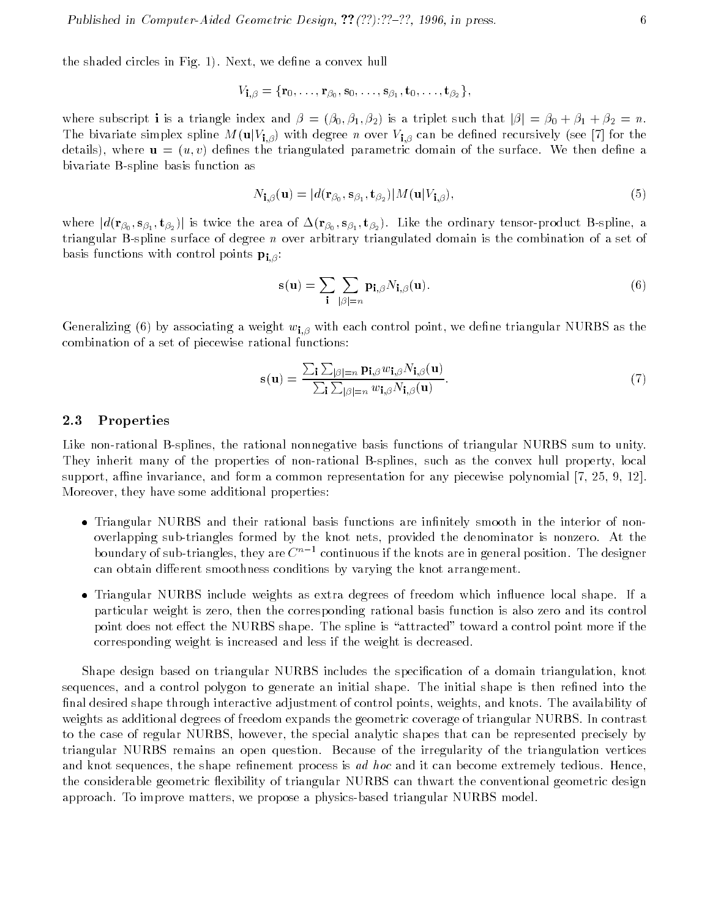the shaded circles in Fig. 1). Next, we define a convex hull

$$
V_{\mathbf{i},\beta}=\{\mathbf{r}_0,\ldots,\mathbf{r}_{\beta_0},\mathbf{s}_0,\ldots,\mathbf{s}_{\beta_1},\mathbf{t}_0,\ldots,\mathbf{t}_{\beta_2}\},
$$

where subscript **i** is a triangle index and  $\beta = (\beta_0, \beta_1, \beta_2)$  is a triplet such that  $|\beta| = \beta_0 + \beta_1 + \beta_2 = n$ . The bivariate simplex spline  $M(\mathbf{u}|V_{\mathbf{i},\beta})$  with degree *n* over  $V_{\mathbf{i},\beta}$  can be defined recursively (see [7] for the details), where  $\mathbf{u} = (u, v)$  defines the triangulated parametric domain of the surface. We then define a bivariate B-spline basis function as

$$
N_{\mathbf{i},\beta}(\mathbf{u}) = |d(\mathbf{r}_{\beta_0}, \mathbf{s}_{\beta_1}, \mathbf{t}_{\beta_2})| M(\mathbf{u}|V_{\mathbf{i},\beta}),
$$
\n(5)

where  $|d(\mathbf{r}_{\beta_0},\mathbf{s}_{\beta_1},\mathbf{t}_{\beta_2})|$  is twice the area of  $\Delta(\mathbf{r}_{\beta_0},\mathbf{s}_{\beta_1},\mathbf{t}_{\beta_2})$ . Like the ordinary tensor-product B-spline, a triangular B-spline surface of degree n over arbitrary triangulated domain is the combination of a set of basis functions with control points  $\mathbf{p}_{i,\beta}$ :

$$
\mathbf{s}(\mathbf{u}) = \sum_{\mathbf{i}} \sum_{|\beta|=n} \mathbf{p}_{\mathbf{i},\beta} N_{\mathbf{i},\beta}(\mathbf{u}). \tag{6}
$$

Generalizing (6) by associating a weight  $w_{1,\beta}$  with each control point, we define triangular NURBS as the combination of a set of piecewise rational functions:

$$
\mathbf{s}(\mathbf{u}) = \frac{\sum_{\mathbf{i}} \sum_{|\beta|=n} \mathbf{p}_{\mathbf{i},\beta} w_{\mathbf{i},\beta} N_{\mathbf{i},\beta}(\mathbf{u})}{\sum_{\mathbf{i}} \sum_{|\beta|=n} w_{\mathbf{i},\beta} N_{\mathbf{i},\beta}(\mathbf{u})}.
$$
(7)

#### 2.3Properties

Like non-rational B-splines, the rational nonnegative basis functions of triangular NURBS sum to unity. They inherit many of the properties of non-rational B-splines, such as the convex hull property, local support, affine invariance, and form a common representation for any piecewise polynomial  $[7, 25, 9, 12]$ . Moreover, they have some additional properties:

- $\bullet$  Triangular NURBS and their rational basis functions are infinitely smooth in the interior of nonoverlapping sub-triangles formed by the knot nets, provided the denominator is nonzero. At the boundary of sub-triangles, they are  $C^{n-1}$  continuous if the knots are in general position. The designer can obtain different smoothness conditions by varying the knot arrangement.
- $\bullet$  Iriangular NURBS include weights as extra degrees of freedom which influence local shape. If a particular weight is zero, then the corresponding rational basis function is also zero and its control point does not effect the NURBS shape. The spline is "attracted" toward a control point more if the corresponding weight is increased and less if the weight is decreased.

Shape design based on triangular NURBS includes the specication of a domain triangulation, knot sequences, and a control polygon to generate an initial shape. The initial shape is then refined into the final desired shape through interactive adjustment of control points, weights, and knots. The availability of weights as additional degrees of freedom expands the geometric coverage of triangular NURBS. In contrast to the case of regular NURBS, however, the special analytic shapes that can be represented precisely by triangular NURBS remains an open question. Because of the irregularity of the triangulation vertices and knot sequences, the shape refinement process is ad hoc and it can become extremely tedious. Hence, the considerable geometric flexibility of triangular NURBS can thwart the conventional geometric design approach. To improve matters, we propose a physics-based triangular NURBS model.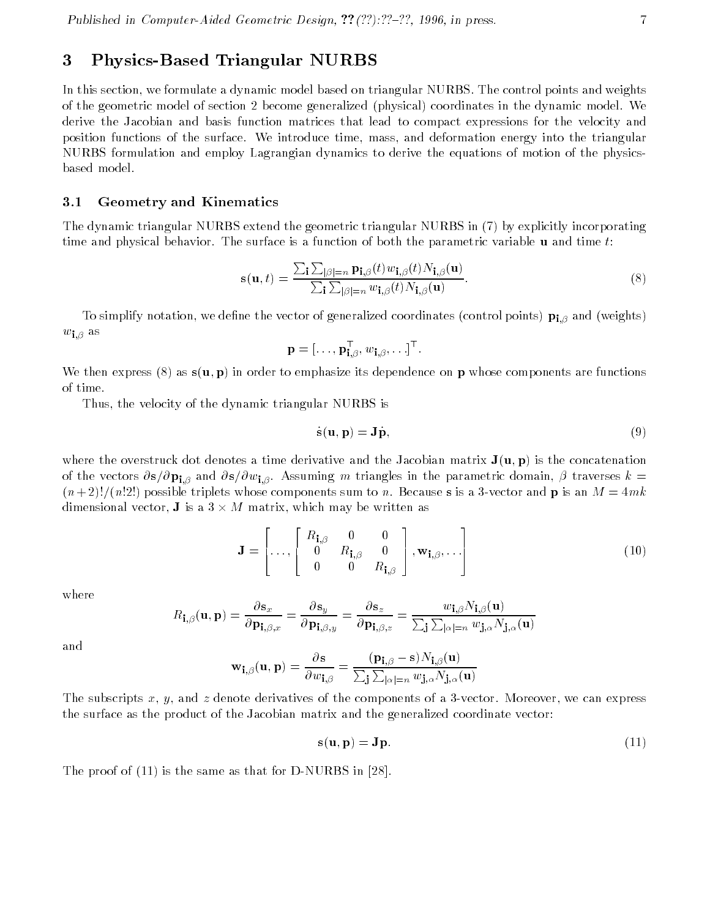## 3 Physics-Based Triangular NURBS

In this section, we formulate a dynamic model based on triangular NURBS. The control points and weights of the geometric model of section 2 become generalized (physical) coordinates in the dynamic model. We derive the Jacobian and basis function matrices that lead to compact expressions for the velocity and position functions of the surface. We introduce time, mass, and deformation energy into the triangular NURBS formulation and employ Lagrangian dynamics to derive the equations of motion of the physicsbased model.

#### 3.1Geometry and Kinematics

The dynamic triangular NURBS extend the geometric triangular NURBS in (7) by explicitly incorporating time and physical behavior. The surface is a function of both the parametric variable  $\bf{u}$  and time t:

$$
\mathbf{s}(\mathbf{u},t) = \frac{\sum_{\mathbf{i}} \sum_{|\beta|=n} \mathbf{p}_{\mathbf{i},\beta}(t) w_{\mathbf{i},\beta}(t) N_{\mathbf{i},\beta}(\mathbf{u})}{\sum_{\mathbf{i}} \sum_{|\beta|=n} w_{\mathbf{i},\beta}(t) N_{\mathbf{i},\beta}(\mathbf{u})}.
$$
(8)

To simplify notation, we define the vector of generalized coordinates (control points)  ${\bf p_{i,\beta}}$  and (weights)  $w_{\mathbf{i}.\beta}$  as

$$
\mathbf{p}=[\ldots,\mathbf{p}_{\mathbf{i},\beta}^\top,w_{\mathbf{i},\beta},\ldots]^\top.
$$

We then express (8) as  $\mathbf{s}(\mathbf{u},\mathbf{p})$  in order to emphasize its dependence on p whose components are functions of time.

Thus, the velocity of the dynamic triangular NURBS is

$$
\dot{\mathbf{s}}(\mathbf{u}, \mathbf{p}) = \mathbf{J}\dot{\mathbf{p}},\tag{9}
$$

where the overstruck dot denotes a time derivative and the Jacobian matrix  $J(u, p)$  is the concatenation of the vectors  $\partial s/\partial p_{i,\beta}$  and  $\partial s/\partial w_{i,\beta}$ . Assuming m triangles in the parametric domain,  $\beta$  traverses  $k=$  $(n+2)!/(n!2!)$  possible triplets whose components sum to n. Because s is a 3-vector and p is an  $M = 4mk$ dimensional vector, **J** is a 3  $\times$  *M* matrix, which may be written as

$$
\mathbf{J} = \begin{bmatrix} R_{\mathbf{i},\beta} & 0 & 0 \\ 0 & R_{\mathbf{i},\beta} & 0 \\ 0 & 0 & R_{\mathbf{i},\beta} \end{bmatrix}, \mathbf{w}_{\mathbf{i},\beta}, \ldots \right]
$$
(10)

where

$$
R_{\mathbf{i},\beta}(\mathbf{u},\mathbf{p}) = \frac{\partial \mathbf{s}_x}{\partial \mathbf{p}_{\mathbf{i},\beta,x}} = \frac{\partial \mathbf{s}_y}{\partial \mathbf{p}_{\mathbf{i},\beta,y}} = \frac{\partial \mathbf{s}_z}{\partial \mathbf{p}_{\mathbf{i},\beta,z}} = \frac{w_{\mathbf{i},\beta} N_{\mathbf{i},\beta}(\mathbf{u})}{\sum_{\mathbf{j}} \sum_{|\alpha|=n} w_{\mathbf{j},\alpha} N_{\mathbf{j},\alpha}(\mathbf{u})}
$$

and

$$
\mathbf{w_{i,\beta}}(\mathbf{u},\mathbf{p}) = \frac{\partial \mathbf{s}}{\partial w_{\mathbf{i},\beta}} = \frac{(\mathbf{p_{i,\beta}} - \mathbf{s})N_{\mathbf{i},\beta}(\mathbf{u})}{\sum_{\mathbf{j}}\sum_{|\alpha|=n}w_{\mathbf{j},\alpha}N_{\mathbf{j},\alpha}(\mathbf{u})}
$$

The subscripts x, y, and z denote derivatives of the components of a 3-vector. Moreover, we can express the surface as the product of the Jacobian matrix and the generalized coordinate vector:

$$
\mathbf{s}(\mathbf{u}, \mathbf{p}) = \mathbf{J}\mathbf{p}.\tag{11}
$$

The proof of (11) is the same as that for D-NURBS in [28].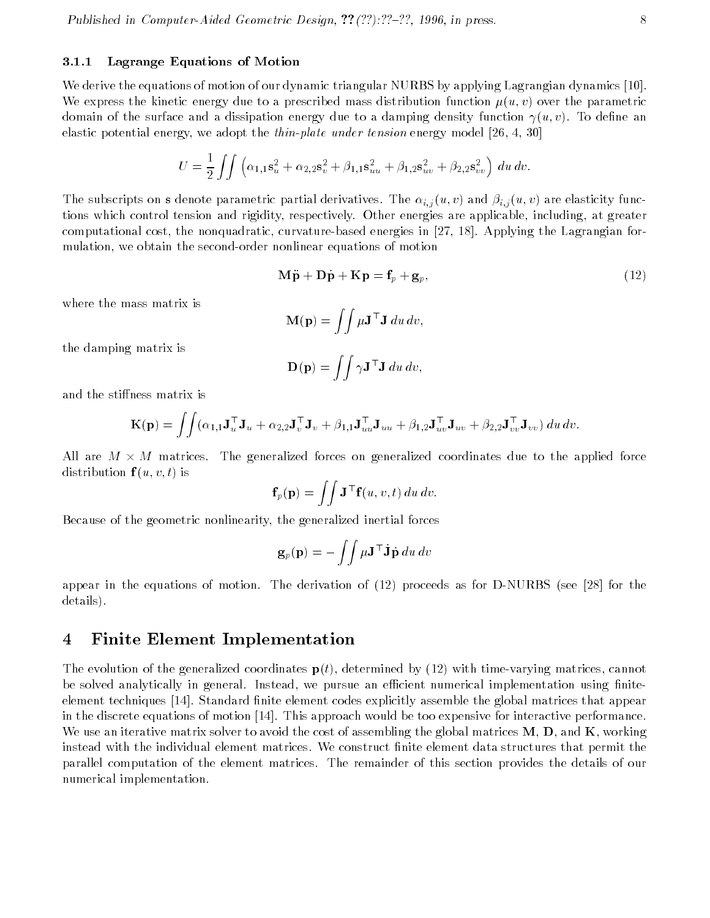#### 3.1.1Lagrange Equations of Motion

We derive the equations of motion of our dynamic triangular NURBS by applying Lagrangian dynamics [10]. We express the kinetic energy due to a prescribed mass distribution function  $\mu(u, v)$  over the parametric domain of the surface and a dissipation energy due to a damping density function  $\gamma(u, v)$ . To define an elastic potential energy, we adopt the *thin-plate under tension* energy model [26, 4, 30]

$$
U = \frac{1}{2} \iint \left( \alpha_{1,1} \mathbf{s}_u^2 + \alpha_{2,2} \mathbf{s}_v^2 + \beta_{1,1} \mathbf{s}_{uu}^2 + \beta_{1,2} \mathbf{s}_{uv}^2 + \beta_{2,2} \mathbf{s}_{vv}^2 \right) du dv.
$$

The subscripts on <sup>s</sup> denote parametric partial derivatives. The i;j (u; v) and i;j(u; v) are elasticity functions which control tension and rigidity, respectively. Other energies are applicable, including, at greater computational cost, the nonquadratic, curvature-based energies in [27, 18]. Applying the Lagrangian formulation, we obtain the second-order nonlinear equations of motion

$$
\mathbf{M}\ddot{\mathbf{p}} + \mathbf{D}\dot{\mathbf{p}} + \mathbf{K}\mathbf{p} = \mathbf{f}_p + \mathbf{g}_p,\tag{12}
$$

where the mass matrix is

$$
\mathbf{M}(\mathbf{p}) = \iint \mu \mathbf{J}^\top \mathbf{J} \, du \, dv,
$$

the damping matrix is

$$
\mathbf{D}(\mathbf{p}) = \iint \gamma \mathbf{J}^\top \mathbf{J} \, du \, dv,
$$

and the stiffness matrix is

$$
\mathbf{K}(\mathbf{p}) = \iint (\alpha_{1,1}\mathbf{J}_u^{\top}\mathbf{J}_u + \alpha_{2,2}\mathbf{J}_v^{\top}\mathbf{J}_v + \beta_{1,1}\mathbf{J}_u^{\top}\mathbf{J}_{uu} + \beta_{1,2}\mathbf{J}_u^{\top}\mathbf{J}_{uv} + \beta_{2,2}\mathbf{J}_v^{\top}\mathbf{J}_{vv}) du dv.
$$

All are  $M$   $\times$   $M$  matrices. The generalized forces on generalized coordinates due to the applied force distribution  $f(u, v, t)$  is

$$
\mathbf{f}_p(\mathbf{p}) = \iint \mathbf{J}^\top \mathbf{f}(u, v, t) \, du \, dv.
$$

Because of the geometric nonlinearity, the generalized inertial forces

$$
\mathbf{g}_p(\mathbf{p}) = -\iint \mu \mathbf{J}^\top \dot{\mathbf{J}} \dot{\mathbf{p}} \, du \, dv
$$

appear in the equations of motion. The derivation of (12) proceeds as for D-NURBS (see [28] for the details).

### 4 Finite Element Implementation

The evolution of the generalized coordinates  $p(t)$ , determined by (12) with time-varying matrices, cannot be solved analytically in general. Instead, we pursue an efficient numerical implementation using finiteelement techniques [14]. Standard finite element codes explicitly assemble the global matrices that appear in the discrete equations of motion [14]. This approach would be too expensive for interactive performance. We use an iterative matrix solver to avoid the cost of assembling the global matrices  $M, D$ , and  $K$ , working instead with the individual element matrices. We construct finite element data structures that permit the parallel computation of the element matrices. The remainder of this section provides the details of our numerical implementation.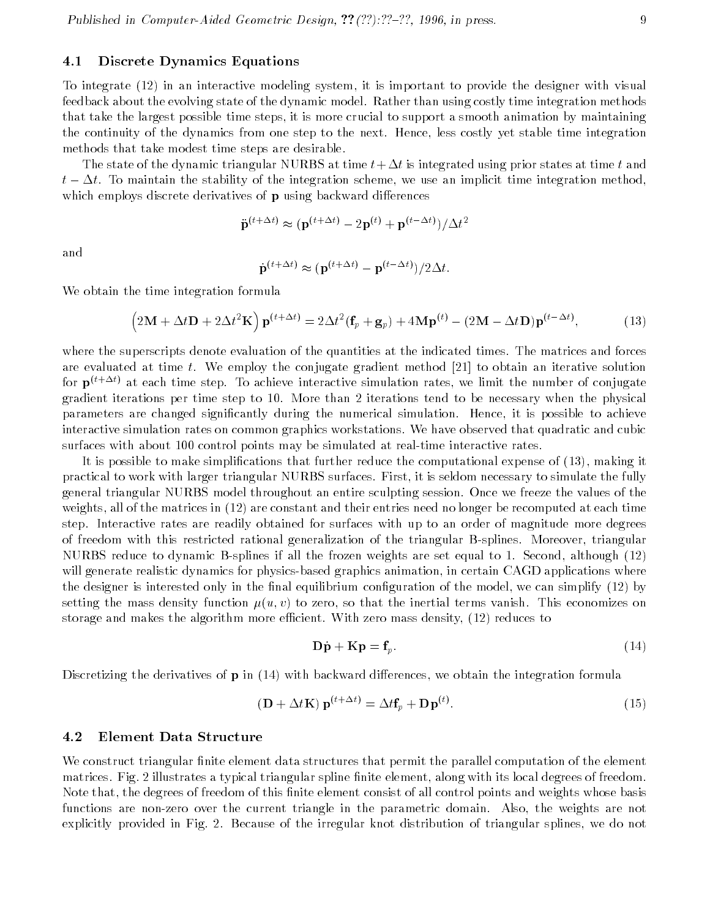#### 4.1Discrete Dynamics Equations

To integrate (12) in an interactive modeling system, it is important to provide the designer with visual feedback about the evolving state of the dynamic model. Rather than using costly time integration methods that take the largest possible time steps, it is more crucial to support a smooth animation by maintaining the continuity of the dynamics from one step to the next. Hence, less costly yet stable time integration methods that take modest time steps are desirable.

The state of the dynamic triangular NURBS at time  $t+\Delta t$  is integrated using prior states at time  $t$  and  $t - \Delta t$ . To maintain the stability of the integration scheme, we use an implicit time integration method, which employs discrete derivatives of  $\bf{p}$  using backward differences

$$
\ddot{\mathbf{p}}^{(t+\Delta t)} \approx (\mathbf{p}^{(t+\Delta t)} - 2\mathbf{p}^{(t)} + \mathbf{p}^{(t-\Delta t)})/\Delta t^2
$$

and

$$
\dot{\mathbf{p}}^{(t+\Delta t)} \approx (\mathbf{p}^{(t+\Delta t)} - \mathbf{p}^{(t-\Delta t)})/2\Delta t.
$$

We obtain the time integration formula

$$
(2\mathbf{M} + \Delta t \mathbf{D} + 2\Delta t^2 \mathbf{K}) \mathbf{p}^{(t+\Delta t)} = 2\Delta t^2 (\mathbf{f}_p + \mathbf{g}_p) + 4\mathbf{M} \mathbf{p}^{(t)} - (2\mathbf{M} - \Delta t \mathbf{D}) \mathbf{p}^{(t-\Delta t)},
$$
(13)

where the superscripts denote evaluation of the quantities at the indicated times. The matrices and forces are evaluated at time t. We employ the conjugate gradient method [21] to obtain an iterative solution for  $p^{(t+\Delta t)}$  at each time step. To achieve interactive simulation rates, we limit the number of conjugate gradient iterations per time step to 10. More than 2 iterations tend to be necessary when the physical parameters are changed signicantly during the numerical simulation. Hence, it is possible to achieve interactive simulation rates on common graphics workstations. We have observed that quadratic and cubic surfaces with about 100 control points may be simulated at real-time interactive rates.

It is possible to make simplications that further reduce the computational expense of (13), making it practical to work with larger triangular NURBS surfaces. First, it is seldom necessary to simulate the fully general triangular NURBS model throughout an entire sculpting session. Once we freeze the values of the weights, all of the matrices in (12) are constant and their entries need no longer be recomputed at each time step. Interactive rates are readily obtained for surfaces with up to an order of magnitude more degrees of freedom with this restricted rational generalization of the triangular B-splines. Moreover, triangular NURBS reduce to dynamic B-splines if all the frozen weights are set equal to 1. Second, although (12) will generate realistic dynamics for physics-based graphics animation, in certain CAGD applications where the designer is interested only in the final equilibrium configuration of the model, we can simplify (12) by setting the mass density function  $\mu(u, v)$  to zero, so that the inertial terms vanish. This economizes on storage and makes the algorithm more efficient. With zero mass density,  $(12)$  reduces to

$$
\mathbf{D}\dot{\mathbf{p}} + \mathbf{K}\mathbf{p} = \mathbf{f}_p. \tag{14}
$$

Discretizing the derivatives of  $\bf{p}$  in (14) with backward differences, we obtain the integration formula

$$
(\mathbf{D} + \Delta t \mathbf{K}) \mathbf{p}^{(t + \Delta t)} = \Delta t \mathbf{f}_p + \mathbf{D} \mathbf{p}^{(t)}.
$$
\n(15)

#### 4.2Element Data Structure

We construct triangular finite element data structures that permit the parallel computation of the element matrices. Fig. 2 illustrates a typical triangular spline finite element, along with its local degrees of freedom. Note that, the degrees of freedom of this finite element consist of all control points and weights whose basis functions are non-zero over the current triangle in the parametric domain. Also, the weights are not explicitly provided in Fig. 2. Because of the irregular knot distribution of triangular splines, we do not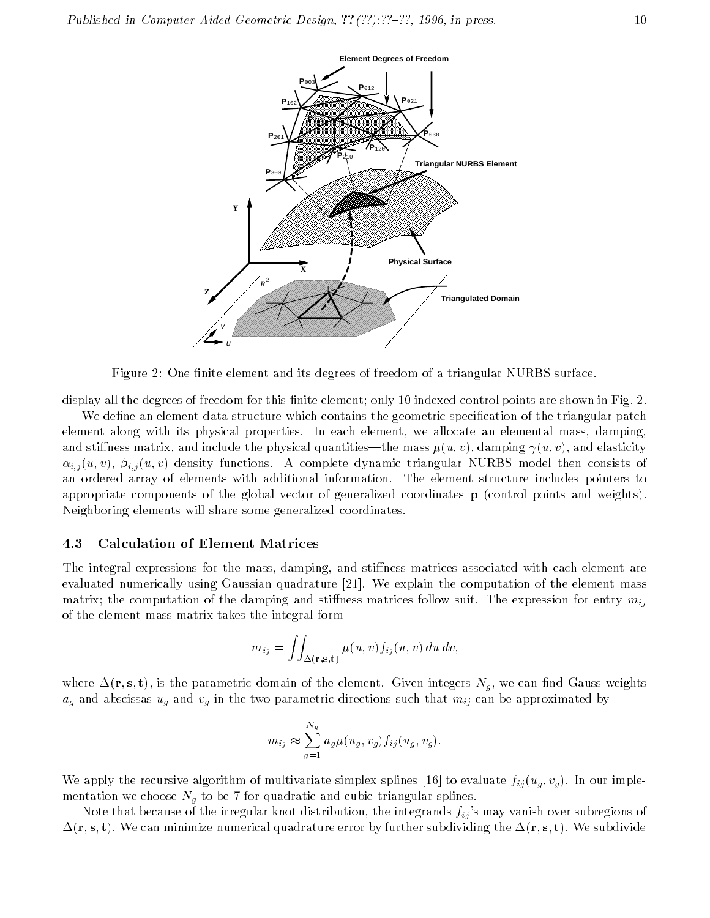

Figure 2: One finite element and its degrees of freedom of a triangular NURBS surface.

display all the degrees of freedom for this finite element; only 10 indexed control points are shown in Fig. 2.

We define an element data structure which contains the geometric specification of the triangular patch element along with its physical properties. In each element, we allocate an elemental mass, damping, and stiffness matrix, and include the physical quantities—the mass  $\mu(u, v)$ , damping  $\gamma(u, v)$ , and elasticity i; j (u; v),  $\{u_i\}$  (u; v) density functions. A complete dynamic triangular NURBS model then consistent of an ordered array of elements with additional information. The element structure includes pointers to appropriate components of the global vector of generalized coordinates <sup>p</sup> (control points and weights). Neighboring elements will share some generalized coordinates.

#### 4.3Calculation of Element Matrices

The integral expressions for the mass, damping, and stiffness matrices associated with each element are evaluated numerically using Gaussian quadrature [21]. We explain the computation of the element mass matrix; the computation of the damping and stiffness matrices follow suit. The expression for entry  $m_{ii}$ of the element mass matrix takes the integral form

$$
m_{ij} = \iint_{\Delta(\mathbf{r}, \mathbf{s}, \mathbf{t})} \mu(u, v) f_{ij}(u, v) \, du \, dv,
$$

where  $\Delta(\mathbf{r}, \mathbf{s}, \mathbf{t})$ , is the parametric domain of the element. Given integers  $N_g$ , we can find Gauss weights ag and abscissas ug and vg in the two parametric directions such that mij can be approximated by

$$
m_{ij} \approx \sum_{g=1}^{N_g} a_g \mu(u_g, v_g) f_{ij}(u_g, v_g).
$$

We apply the recursive algorithm of multivariate simplex spling [16] to evaluate fiji(ug). In our implementation we choose Ng to be 7 for quadratic and cubic triangular splines.

Note that because of the irregular knot distribution, the integrands  $f_{ij}$ 's may vanish over subregions of  $\Delta({\bf r,s,t})$  . We can minimize numerical quadrature error by further subdividing the  $\Delta({\bf r,s,t})$  . We subdivide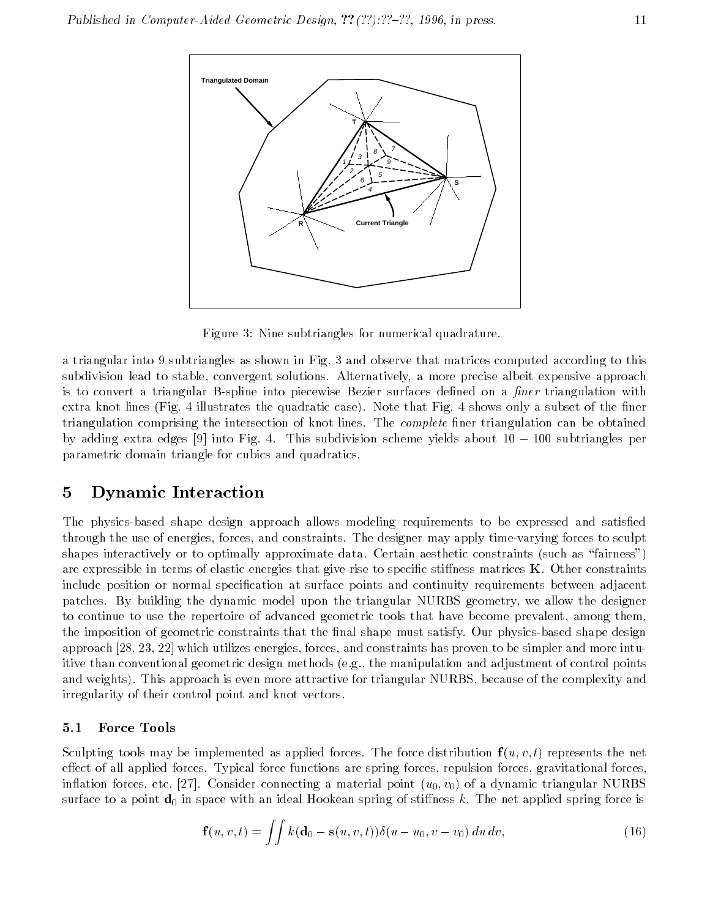

Figure 3: Nine subtriangles for numerical quadrature.

a triangular into 9 subtriangles as shown in Fig. 3 and observe that matrices computed according to this subdivision lead to stable, convergent solutions. Alternatively, a more precise albeit expensive approach is to convert a triangular B-spline into piecewise Bezier surfaces defined on a *finer* triangulation with extra knot lines (Fig. 4 illustrates the quadratic case). Note that Fig. 4 shows only a subset of the finer triangulation comprising the intersection of knot lines. The *complete* finer triangulation can be obtained by adding extra edges  $[9]$  into Fig. 4. This subdivision scheme yields about  $10 - 100$  subtriangles per parametric domain triangle for cubics and quadratics.

### 5 Dynamic Interaction

The physics-based shape design approach allows modeling requirements to be expressed and satisfied through the use of energies, forces, and constraints. The designer may apply time-varying forces to sculpt shapes interactively or to optimally approximate data. Certain aesthetic constraints (such as "fairness") are expressible in terms of elastic energies that give rise to specific stiffness matrices  $\bf{K}$ . Other constraints include position or normal specification at surface points and continuity requirements between adjacent patches. By building the dynamic model upon the triangular NURBS geometry, we allow the designer to continue to use the repertoire of advanced geometric tools that have become prevalent, among them, the imposition of geometric constraints that the final shape must satisfy. Our physics-based shape design approach [28, 23, 22] which utilizes energies, forces, and constraints has proven to be simpler and more intuitive than conventional geometric design methods (e.g., the manipulation and adjustment of control points and weights). This approach is even more attractive for triangular NURBS, because of the complexity and irregularity of their control point and knot vectors.

#### 5.1Force Tools

Sculpting tools may be implemented as applied forces. The force distribution  $f(u, v, t)$  represents the net effect of all applied forces. Typical force functions are spring forces, repulsion forces, gravitational forces, inflation forces, etc. [27]. Consider connecting a material point  $(u_0, v_0)$  of a dynamic triangular NURBS surface to a point  $\mathbf{d}_0$  in space with an ideal Hookean spring of stiffness k. The net applied spring force is

$$
\mathbf{f}(u,v,t) = \iint k(\mathbf{d}_0 - \mathbf{s}(u,v,t)) \delta(u - u_0, v - v_0) du dv,
$$
\n(16)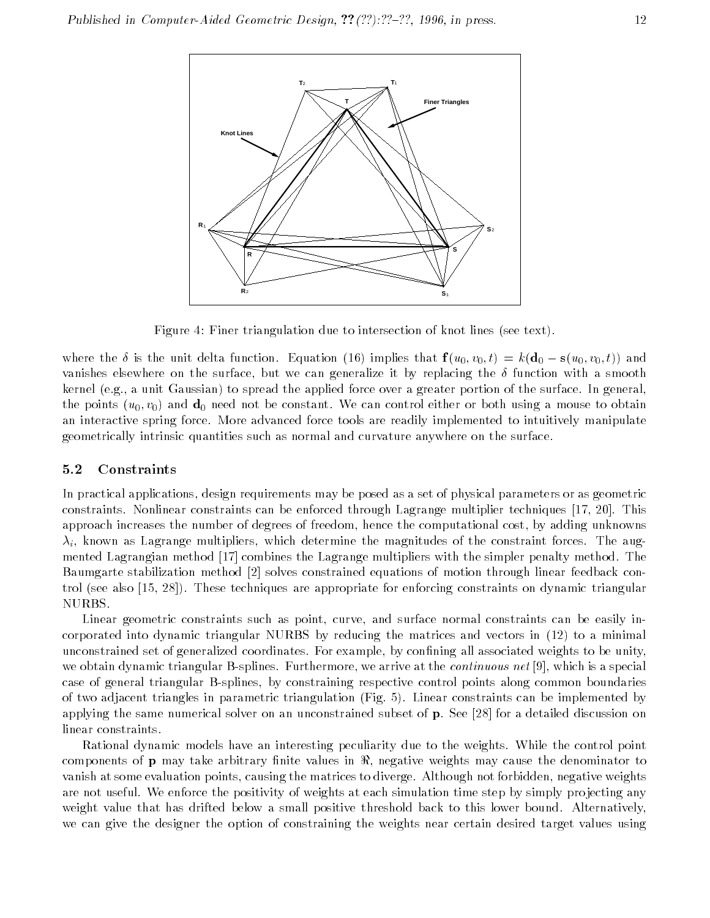

Figure 4: Finer triangulation due to intersection of knot lines (see text).

where the  $\delta$  is the unit delta function. Equation (16) implies that  $f(u_0, v_0, t) = k(d_0 - s(u_0, v_0, t))$  and vanishes elsewhere on the surface, but we can generalize it by replacing the  $\delta$  function with a smooth kernel (e.g., a unit Gaussian) to spread the applied force over a greater portion of the surface. In general, the points  $(u_0, v_0)$  and  $\mathbf{d}_0$  need not be constant. We can control either or both using a mouse to obtain an interactive spring force. More advanced force tools are readily implemented to intuitively manipulate geometrically intrinsic quantities such as normal and curvature anywhere on the surface.

#### 5.2Constraints

In practical applications, design requirements may be posed as a set of physical parameters or as geometric constraints. Nonlinear constraints can be enforced through Lagrange multiplier techniques [17, 20]. This approach increases the number of degrees of freedom, hence the computational cost, by adding unknowns  $\lambda_i$ , known as Lagrange multipliers, which determine the magnitudes of the constraint forces. The augmented Lagrangian method [17] combines the Lagrange multipliers with the simpler penalty method. The Baumgarte stabilization method [2] solves constrained equations of motion through linear feedback control (see also [15, 28]). These techniques are appropriate for enforcing constraints on dynamic triangular NURBS.

Linear geometric constraints such as point, curve, and surface normal constraints can be easily incorporated into dynamic triangular NURBS by reducing the matrices and vectors in (12) to a minimal unconstrained set of generalized coordinates. For example, by confining all associated weights to be unity, we obtain dynamic triangular B-splines. Furthermore, we arrive at the *continuous net* [9], which is a special case of general triangular B-splines, by constraining respective control points along common boundaries of two adjacent triangles in parametric triangulation (Fig. 5). Linear constraints can be implemented by applying the same numerical solver on an unconstrained subset of p. See [28] for a detailed discussion on linear constraints.

Rational dynamic models have an interesting peculiarity due to the weights. While the control point components of **p** may take arbitrary finite values in  $\Re$ , negative weights may cause the denominator to vanish at some evaluation points, causing the matrices to diverge. Although not forbidden, negative weights are not useful. We enforce the positivity of weights at each simulation time step by simply projecting any weight value that has drifted below a small positive threshold back to this lower bound. Alternatively, we can give the designer the option of constraining the weights near certain desired target values using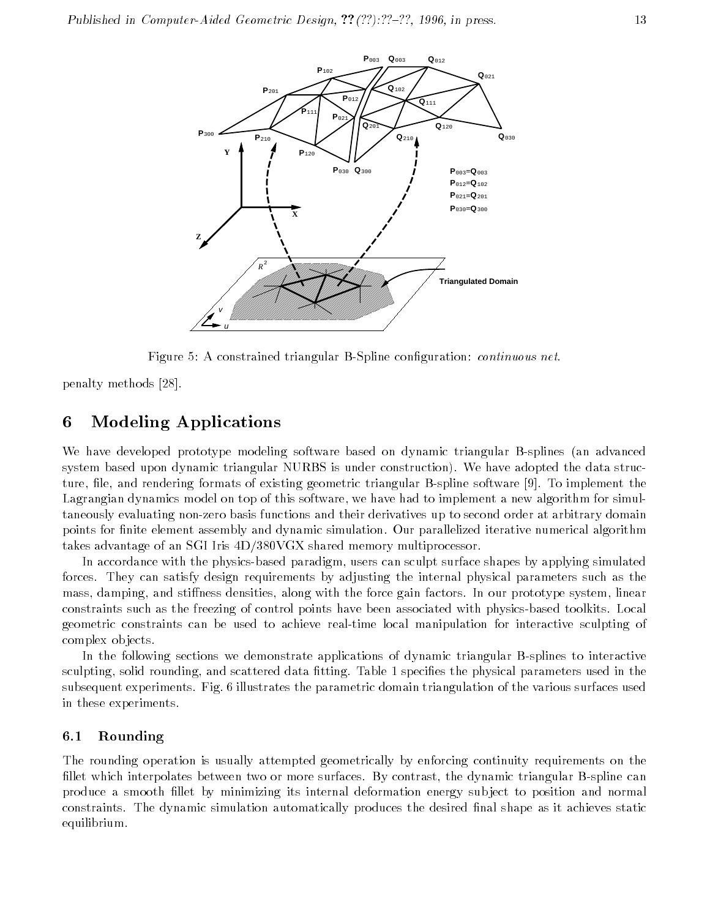

Figure 5: A constrained triangular B-Spline conguration: continuous net.

penalty methods [28].

### 6 Modeling Applications

We have developed prototype modeling software based on dynamic triangular B-splines (an advanced system based upon dynamic triangular NURBS is under construction). We have adopted the data structure, file, and rendering formats of existing geometric triangular B-spline software [9]. To implement the Lagrangian dynamics model on top of this software, we have had to implement a new algorithm for simultaneously evaluating non-zero basis functions and their derivatives up to second order at arbitrary domain points for finite element assembly and dynamic simulation. Our parallelized iterative numerical algorithm takes advantage of an SGI Iris 4D/380VGX shared memory multiprocessor.

In accordance with the physics-based paradigm, users can sculpt surface shapes by applying simulated forces. They can satisfy design requirements by adjusting the internal physical parameters such as the mass, damping, and stiffness densities, along with the force gain factors. In our prototype system, linear constraints such as the freezing of control points have been associated with physics-based toolkits. Local geometric constraints can be used to achieve real-time local manipulation for interactive sculpting of complex ob jects.

In the following sections we demonstrate applications of dynamic triangular B-splines to interactive sculpting, solid rounding, and scattered data fitting. Table 1 specifies the physical parameters used in the subsequent experiments. Fig. 6 illustrates the parametric domain triangulation of the various surfaces used in these experiments.

#### 6.1Rounding

The rounding operation is usually attempted geometrically by enforcing continuity requirements on the fillet which interpolates between two or more surfaces. By contrast, the dynamic triangular B-spline can produce a smooth llet by minimizing its internal deformation energy sub ject to position and normal constraints. The dynamic simulation automatically produces the desired final shape as it achieves static equilibrium.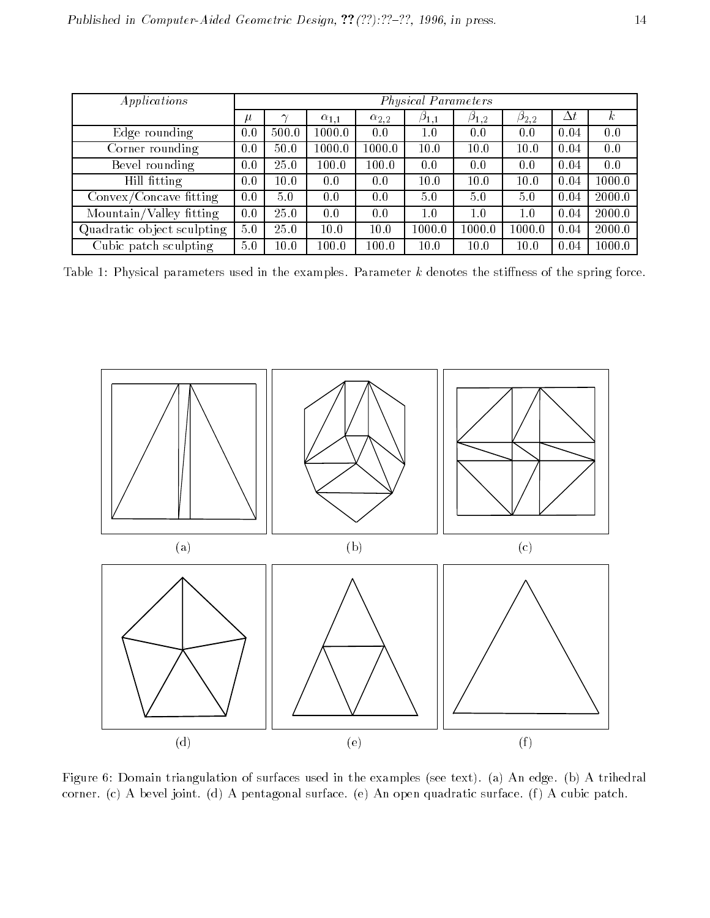| Applications                                                  | <b>Physical Parameters</b> |                             |                |                |               |               |               |            |          |
|---------------------------------------------------------------|----------------------------|-----------------------------|----------------|----------------|---------------|---------------|---------------|------------|----------|
|                                                               | μ                          | $\scriptstyle\mathtt{\sim}$ | $\alpha_{1,1}$ | $\alpha_{2,2}$ | $\beta_{1,1}$ | $\beta_{1,2}$ | $\beta_{2,2}$ | $\Delta t$ | $\kappa$ |
| Edge rounding                                                 | 0.0                        | 500.0                       | 1000.0         | 0.0            | 1.0           | 0.0           | 0.0           | 0.04       | 0.0      |
| Corner rounding                                               | 0.0                        | 50.0                        | 1000.0         | 1000.0-        | 10.0          | 10.0          | 10.0          | 0.04       | 0.0      |
| Bevel rounding                                                | 0.0                        | 25.0                        | 100.0          | 100.0          | 0.0           | 0.0           | 0.0           | 0.04       | 0.0      |
| Hill fitting                                                  | 0.0                        | 10.0                        | 0.0            | 0.0            | 10.0          | 10.0          | 10.0          | 0.04       | 1000.0   |
| Convex/Concave fitting                                        | 0.0                        | 5.0                         | 0.0            | 0.0            | 5.0           | 5.0           | 5.0           | 0.04       | 2000.0   |
| $\overline{\text{M}^{\text{}}\text{ountain}}$ /Valley fitting | 0.0                        | 25.0                        | 0.0            | 0.0            | 1.0           | 1.0           | 1.0           | 0.04       | 2000.0   |
| Quadratic object sculpting                                    | 5.0                        | 25.0                        | 10.0           | 10.0           | 1000.0        | 1000.0        | 1000.0        | 0.04       | 2000.0   |
| Cubic patch sculpting                                         | 5.0                        | $10.0\,$                    | 100.0          | 100.0          | 10.0          | 10.0          | 10.0          | 0.04       | 1000.0   |

Table 1: Physical parameters used in the examples. Parameter  $k$  denotes the stiffness of the spring force.



Figure 6: Domain triangulation of surfaces used in the examples (see text). (a) An edge. (b) A trihedral corner. (c) A bevel joint. (d) A pentagonal surface. (e) An open quadratic surface. (f) A cubic patch.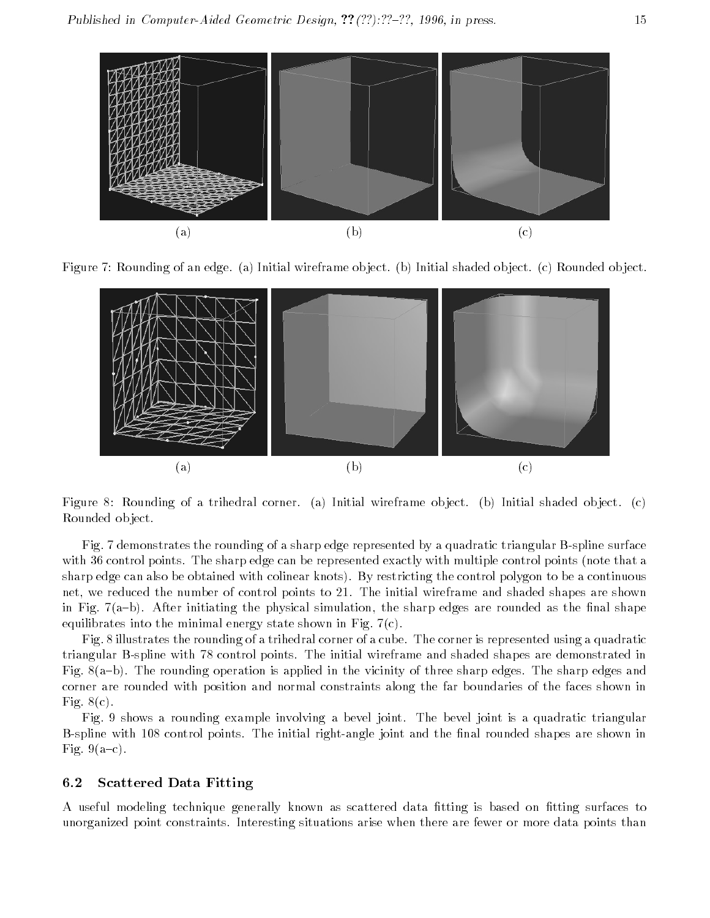

Figure 7: Rounding of an edge. (a) Initial wireframe ob ject. (b) Initial shaded ob ject. (c) Rounded ob ject.



Figure 8: Rounding of a trihedral corner. (a) Initial wireframe object. (b) Initial shaded object. (c) Rounded ob ject.

Fig. 7 demonstrates the rounding of a sharp edge represented by a quadratic triangular B-spline surface with 36 control points. The sharp edge can be represented exactly with multiple control points (note that a sharp edge can also be obtained with colinear knots). By restricting the control polygon to be a continuous net, we reduced the number of control points to 21. The initial wireframe and shaded shapes are shown in Fig. 7(a-b). After initiating the physical simulation, the sharp edges are rounded as the final shape equilibrates into the minimal energy state shown in Fig.  $7(c)$ .

Fig. 8 illustrates the rounding of a trihedral corner of a cube. The corner is represented using a quadratic triangular B-spline with 78 control points. The initial wireframe and shaded shapes are demonstrated in Fig. 8(a-b). The rounding operation is applied in the vicinity of three sharp edges. The sharp edges and corner are rounded with position and normal constraints along the far boundaries of the faces shown in Fig.  $8(c)$ .

Fig. 9 shows a rounding example involving a bevel joint. The bevel joint is a quadratic triangular B-spline with 108 control points. The initial right-angle joint and the final rounded shapes are shown in Fig.  $9(a-c)$ .

#### 6.2Scattered Data Fitting

A useful modeling technique generally known as scattered data fitting is based on fitting surfaces to unorganized point constraints. Interesting situations arise when there are fewer or more data points than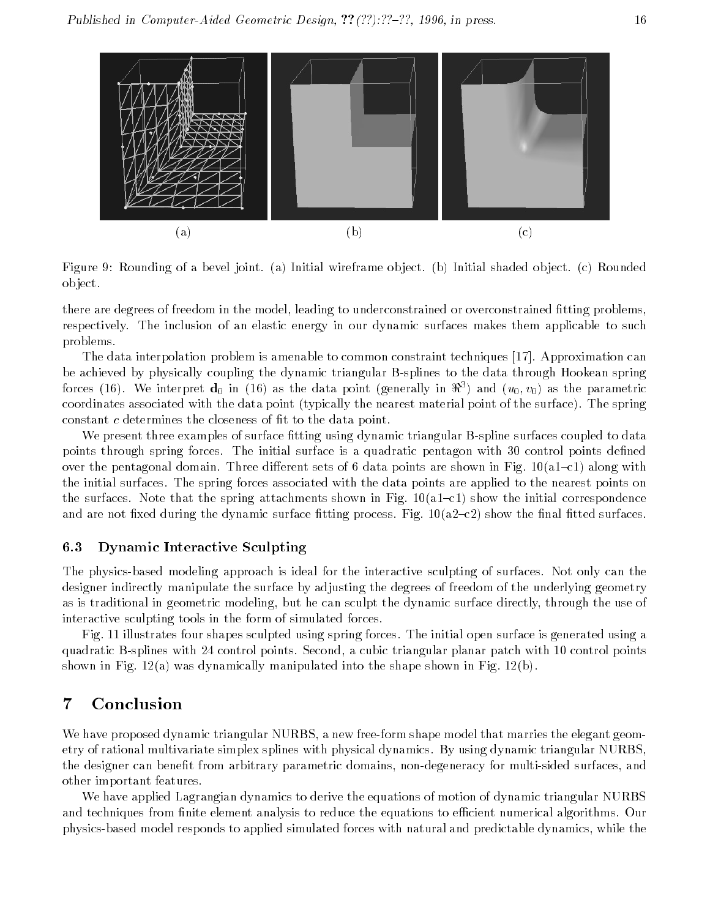

Figure 9: Rounding of a bevel joint. (a) Initial wireframe ob ject. (b) Initial shaded ob ject. (c) Rounded ob ject.

there are degrees of freedom in the model, leading to underconstrained or overconstrained fitting problems, respectively. The inclusion of an elastic energy in our dynamic surfaces makes them applicable to such problems.

The data interpolation problem is amenable to common constraint techniques [17]. Approximation can be achieved by physically coupling the dynamic triangular B-splines to the data through Hookean spring forces (16). We interpret  $\mathbf{d}_0$  in (16) as the data point (generally in  $\Re^3$ ) and  $(u_0, v_0)$  as the parametric coordinates associated with the data point (typically the nearest material point of the surface). The spring constant c determines the closeness of fit to the data point.

We present three examples of surface fitting using dynamic triangular B-spline surfaces coupled to data points through spring forces. The initial surface is a quadratic pentagon with 30 control points defined over the pentagonal domain. Three different sets of 6 data points are shown in Fig.  $10(a1-c1)$  along with the initial surfaces. The spring forces associated with the data points are applied to the nearest points on the surfaces. Note that the spring attachments shown in Fig.  $10(a1-c1)$  show the initial correspondence and are not fixed during the dynamic surface fitting process. Fig.  $10(a2-c2)$  show the final fitted surfaces.

#### 6.3Dynamic Interactive Sculpting

The physics-based modeling approach is ideal for the interactive sculpting of surfaces. Not only can the designer indirectly manipulate the surface by adjusting the degrees of freedom of the underlying geometry as is traditional in geometric modeling, but he can sculpt the dynamic surface directly, through the use of interactive sculpting tools in the form of simulated forces.

Fig. 11 illustrates four shapes sculpted using spring forces. The initial open surface is generated using a quadratic B-splines with 24 control points. Second, a cubic triangular planar patch with 10 control points shown in Fig. 12(a) was dynamically manipulated into the shape shown in Fig. 12(b).

### 7 Conclusion

We have proposed dynamic triangular NURBS, a new free-form shape model that marries the elegant geometry of rational multivariate simplex splines with physical dynamics. By using dynamic triangular NURBS, the designer can benet from arbitrary parametric domains, non-degeneracy for multi-sided surfaces, and other important features.

We have applied Lagrangian dynamics to derive the equations of motion of dynamic triangular NURBS and techniques from finite element analysis to reduce the equations to efficient numerical algorithms. Our physics-based model responds to applied simulated forces with natural and predictable dynamics, while the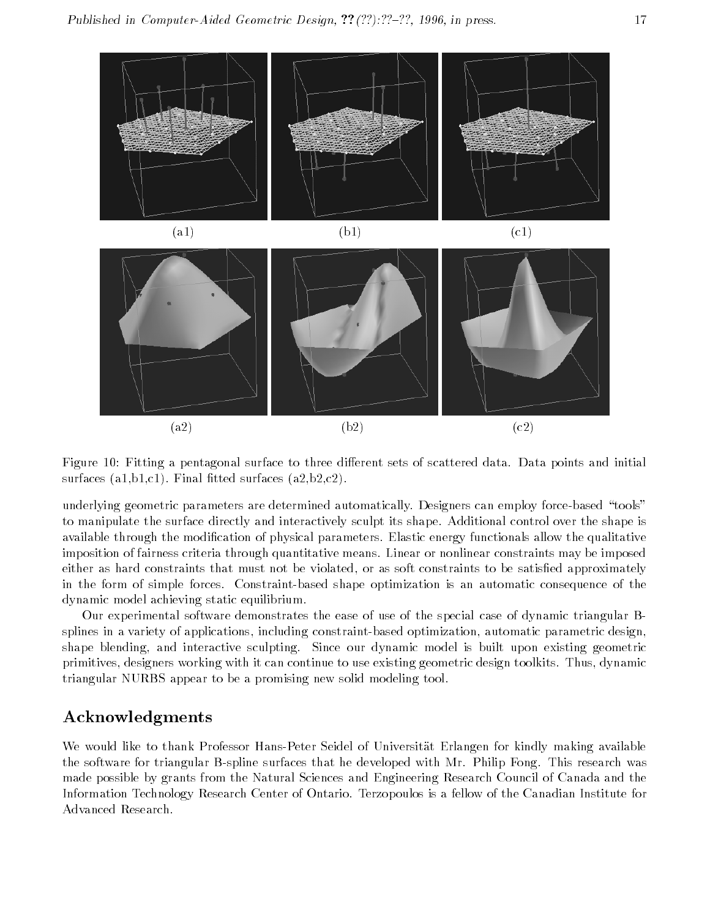

Figure 10: Fitting a pentagonal surface to three different sets of scattered data. Data points and initial surfaces  $(a1,b1,c1)$ . Final fitted surfaces  $(a2,b2,c2)$ .

underlying geometric parameters are determined automatically. Designers can employ force-based "tools" to manipulate the surface directly and interactively sculpt its shape. Additional control over the shape is available through the modication of physical parameters. Elastic energy functionals allow the qualitative imposition of fairness criteria through quantitative means. Linear or nonlinear constraints may be imposed either as hard constraints that must not be violated, or as soft constraints to be satisfied approximately in the form of simple forces. Constraint-based shape optimization is an automatic consequence of the dynamic model achieving static equilibrium.

Our experimental software demonstrates the ease of use of the special case of dynamic triangular Bsplines in a variety of applications, including constraint-based optimization, automatic parametric design, shape blending, and interactive sculpting. Since our dynamic model is built upon existing geometric primitives, designers working with it can continue to use existing geometric design toolkits. Thus, dynamic triangular NURBS appear to be a promising new solid modeling tool.

### Acknowledgments

We would like to thank Professor Hans-Peter Seidel of Universität Erlangen for kindly making available the software for triangular B-spline surfaces that he developed with Mr. Philip Fong. This research was made possible by grants from the Natural Sciences and Engineering Research Council of Canada and the Information Technology Research Center of Ontario. Terzopoulos is a fellow of the Canadian Institute for Advanced Research.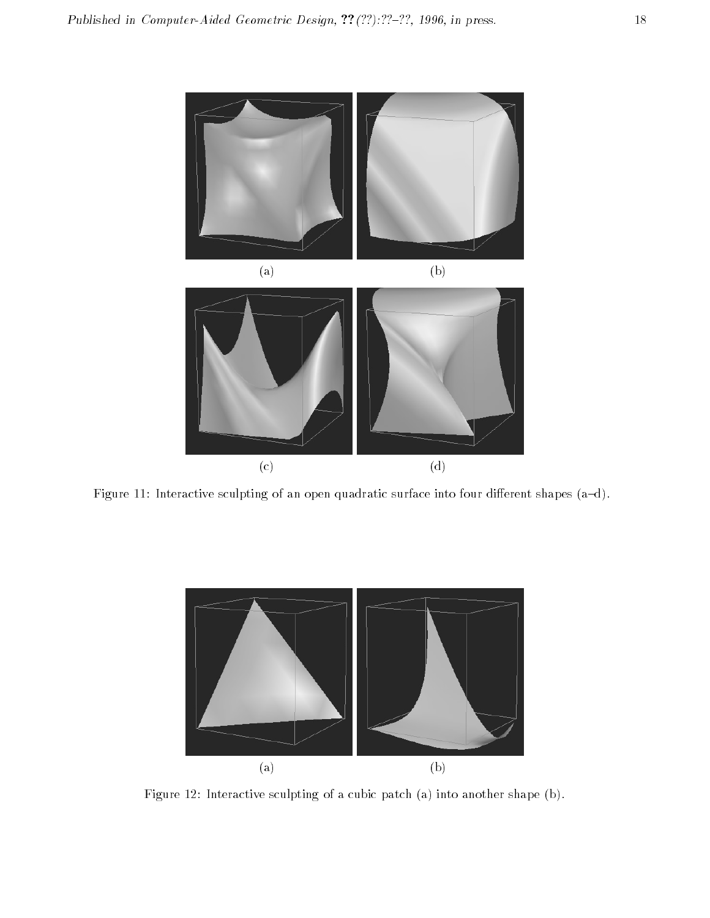

Figure 11: Interactive sculpting of an open quadratic surface into four different shapes (a-d).



Figure 12: Interactive sculpting of a cubic patch (a) into another shape (b).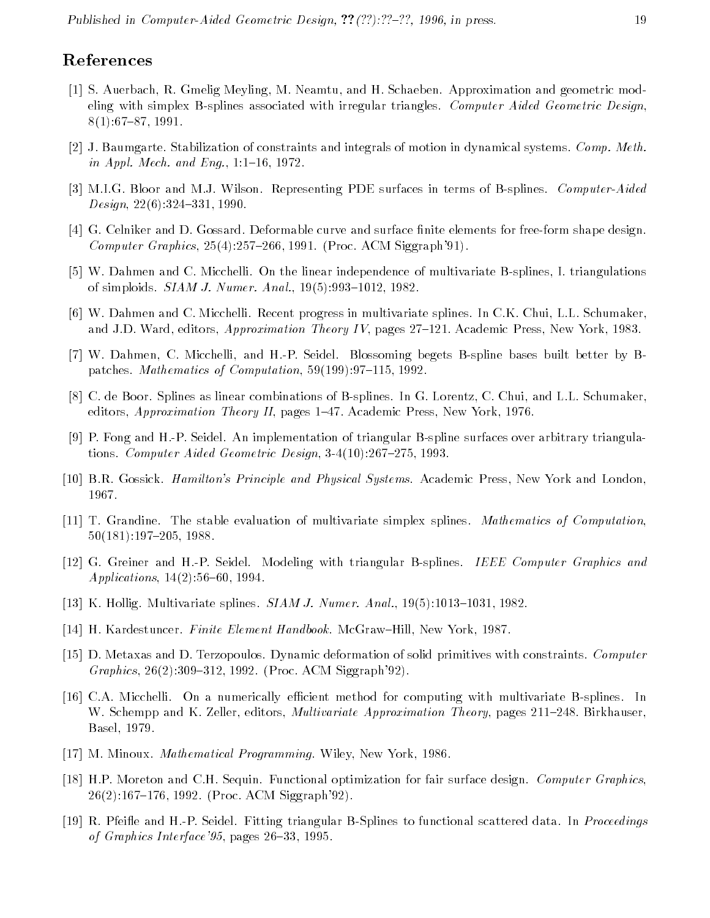### References

- [1] S. Auerbach, R. Gmelig Meyling, M. Neamtu, and H. Schaeben. Approximation and geometric modeling with simplex B-splines associated with irregular triangles. Computer Aided Geometric Design,  $8(1):67{-}87,1991.$
- [2] J. Baumgarte. Stabilization of constraints and integrals of motion in dynamical systems. Comp. Meth. in Appl. Mech. and Eng.,  $1:1{-}16, 1972$ .
- [3] M.I.G. Bloor and M.J. Wilson. Representing PDE surfaces in terms of B-splines. Computer-Aided  $Design, 22(6): 324-331, 1990.$
- [4] G. Celniker and D. Gossard. Deformable curve and surface finite elements for free-form shape design. Computer Graphics,  $25(4):257{=}266, 1991$ . (Proc. ACM Siggraph'91).
- [5] W. Dahmen and C. Micchelli. On the linear independence of multivariate B-splines, I. triangulations of simploids.  $SIAM J. Numer. Anal.$ ,  $19(5):993-1012$ , 1982.
- [6] W. Dahmen and C. Micchelli. Recent progress in multivariate splines. In C.K. Chui, L.L. Schumaker, and J.D. Ward, editors, *Approximation Theory IV*, pages  $27{-}121$ . Academic Press, New York, 1983.
- [7] W. Dahmen, C. Micchelli, and H.-P. Seidel. Blossoming begets B-spline bases built better by Bpatches. Mathematics of Computation,  $59(199):97-115$ , 1992.
- [8] C. de Boor. Splines as linear combinations of B-splines. In G. Lorentz, C. Chui, and L.L. Schumaker, editors, Approximation Theory II, pages  $1-47$ . Academic Press, New York, 1976.
- [9] P. Fong and H.-P. Seidel. An implementation of triangular B-spline surfaces over arbitrary triangulations. Computer Aided Geometric Design,  $3-4(10):267{-}275$ , 1993.
- [10] B.R. Gossick. Hamilton's Principle and Physical Systems. Academic Press, New York and London, 1967.
- [11] T. Grandine. The stable evaluation of multivariate simplex splines. Mathematics of Computation,  $50(181):197-205, 1988.$
- [12] G. Greiner and H.-P. Seidel. Modeling with triangular B-splines. IEEE Computer Graphics and Applications,  $14(2):56{-}60, 1994$ .
- [13] K. Hollig. Multivariate splines.  $SIAM J. Numer. Anal., 19(5):1013-1031, 1982.$
- [14] H. Kardestuncer. *Finite Element Handbook*. McGraw–Hill, New York, 1987.
- [15] D. Metaxas and D. Terzopoulos. Dynamic deformation of solid primitives with constraints. Computer Graphics, 26(2):309-312, 1992. (Proc. ACM Siggraph'92).
- [16] C.A. Micchelli. On a numerically efficient method for computing with multivariate B-splines. In W. Schempp and K. Zeller, editors, *Multivariate Approximation Theory*, pages 211-248. Birkhauser, Basel, 1979.
- [17] M. Minoux. *Mathematical Programming*. Wiley, New York, 1986.
- [18] H.P. Moreton and C.H. Sequin. Functional optimization for fair surface design. Computer Graphics,  $26(2):167{-}176, 1992.$  (Proc. ACM Siggraph'92).
- [19] R. Pfeifle and H.-P. Seidel. Fitting triangular B-Splines to functional scattered data. In *Proceedings* of Graphics Interface' 95, pages  $26{-}33$ , 1995.